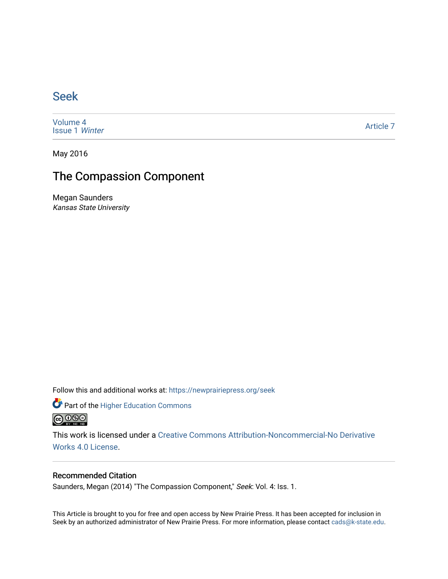## [Seek](https://newprairiepress.org/seek)

[Volume 4](https://newprairiepress.org/seek/vol4) [Issue 1](https://newprairiepress.org/seek/vol4/iss1) Winter

[Article 7](https://newprairiepress.org/seek/vol4/iss1/7) 

May 2016

## The Compassion Component

Megan Saunders Kansas State University

Follow this and additional works at: [https://newprairiepress.org/seek](https://newprairiepress.org/seek?utm_source=newprairiepress.org%2Fseek%2Fvol4%2Fiss1%2F7&utm_medium=PDF&utm_campaign=PDFCoverPages)

Part of the [Higher Education Commons](http://network.bepress.com/hgg/discipline/1245?utm_source=newprairiepress.org%2Fseek%2Fvol4%2Fiss1%2F7&utm_medium=PDF&utm_campaign=PDFCoverPages) 



This work is licensed under a [Creative Commons Attribution-Noncommercial-No Derivative](https://creativecommons.org/licenses/by-nc-nd/4.0/)  [Works 4.0 License](https://creativecommons.org/licenses/by-nc-nd/4.0/).

## Recommended Citation

Saunders, Megan (2014) "The Compassion Component," Seek: Vol. 4: Iss. 1.

This Article is brought to you for free and open access by New Prairie Press. It has been accepted for inclusion in Seek by an authorized administrator of New Prairie Press. For more information, please contact [cads@k-state.edu](mailto:cads@k-state.edu).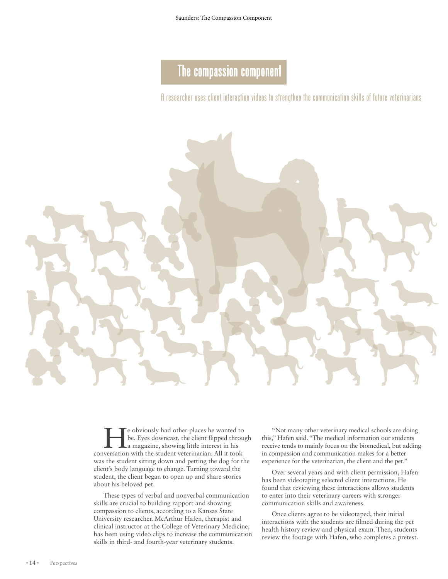## The compassion component

A researcher uses client interaction videos to strengthen the communication skills of future veterinarians



e obviously had other places he wanted to be. Eyes downcast, the client flipped through a magazine, showing little interest in his conversation with the student veterinarian. All it took was the student sitting down and petting the dog for the client's body language to change. Turning toward the student, the client began to open up and share stories about his beloved pet.

These types of verbal and nonverbal communication skills are crucial to building rapport and showing compassion to clients, according to a Kansas State University researcher. McArthur Hafen, therapist and clinical instructor at the College of Veterinary Medicine, has been using video clips to increase the communication skills in third- and fourth-year veterinary students.

"Not many other veterinary medical schools are doing this," Hafen said. "The medical information our students receive tends to mainly focus on the biomedical, but adding in compassion and communication makes for a better experience for the veterinarian, the client and the pet."

Over several years and with client permission, Hafen has been videotaping selected client interactions. He found that reviewing these interactions allows students to enter into their veterinary careers with stronger communication skills and awareness.

Once clients agree to be videotaped, their initial interactions with the students are filmed during the pet health history review and physical exam. Then, students review the footage with Hafen, who completes a pretest.